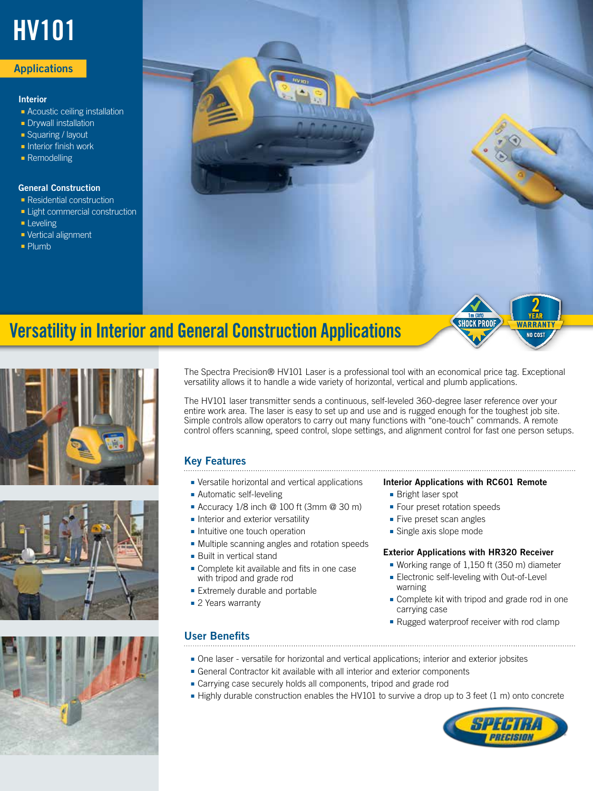# HV101

#### **Applications**

#### Interior

- Acoustic ceiling installation
- Drywall installation
- Squaring / layout
- Interior finish work
- Remodelling

#### General Construction

- Residential construction
- Light commercial construction
- Leveling
- Vertical alignment
- Plumb



# Versatility in Interior and General Construction Applications









The Spectra Precision® HV101 Laser is a professional tool with an economical price tag. Exceptional versatility allows it to handle a wide variety of horizontal, vertical and plumb applications.

The HV101 laser transmitter sends a continuous, self-leveled 360-degree laser reference over your entire work area. The laser is easy to set up and use and is rugged enough for the toughest job site. Simple controls allow operators to carry out many functions with "one-touch" commands. A remote control offers scanning, speed control, slope settings, and alignment control for fast one person setups.

### Key Features

- Versatile horizontal and vertical applications
- Automatic self-leveling
- Accuracy 1/8 inch @ 100 ft (3mm @ 30 m)
- Interior and exterior versatility
- Intuitive one touch operation
- Multiple scanning angles and rotation speeds
- Built in vertical stand
- Complete kit available and fits in one case with tripod and grade rod
- Extremely durable and portable
- 2 Years warranty

#### User Benefits

#### Interior Applications with RC601 Remote

- Bright laser spot
- Four preset rotation speeds
- Five preset scan angles
- Single axis slope mode

#### Exterior Applications with HR320 Receiver

- Working range of 1,150 ft (350 m) diameter
- Electronic self-leveling with Out-of-Level warning
- Complete kit with tripod and grade rod in one carrying case
- Rugged waterproof receiver with rod clamp
- One laser versatile for horizontal and vertical applications; interior and exterior jobsites
- General Contractor kit available with all interior and exterior components
- Carrying case securely holds all components, tripod and grade rod
- Highly durable construction enables the HV101 to survive a drop up to 3 feet (1 m) onto concrete